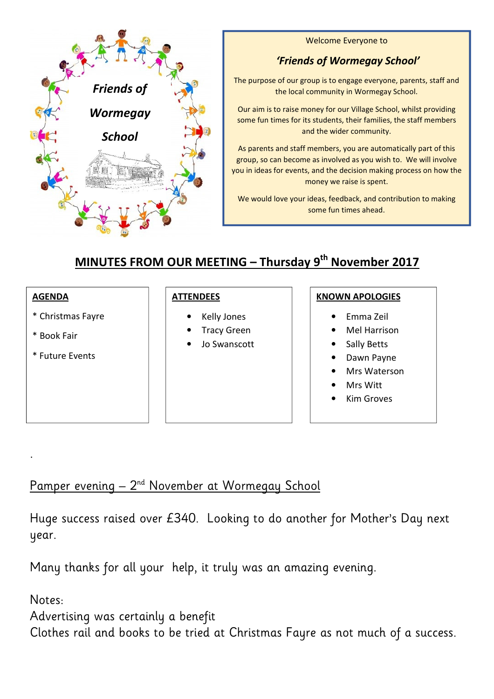

Welcome Everyone to

## *'Friends of Wormegay School'*

The purpose of our group is to engage everyone, parents, staff and the local community in Wormegay School.

Our aim is to raise money for our Village School, whilst providing some fun times for its students, their families, the staff members and the wider community.

As parents and staff members, you are automatically part of this group, so can become as involved as you wish to. We will involve you in ideas for events, and the decision making process on how the money we raise is spent.

We would love your ideas, feedback, and contribution to making some fun times ahead.

## **MINUTES FROM OUR MEETING – Thursday 9th November 2017**

### **AGENDA**

- \* Christmas Fayre
- \* Book Fair
- \* Future Events

### **ATTENDEES**

- Kelly Jones
- Tracy Green
- Jo Swanscott

### **KNOWN APOLOGIES**

- Emma Zeil
- Mel Harrison
- Sally Betts
- Dawn Payne
- Mrs Waterson
- Mrs Witt
- **Kim Groves**

## Pamper evening - 2<sup>nd</sup> November at Wormegay School

Huge success raised over £340. Looking to do another for Mother's Day next year.

Many thanks for all your help, it truly was an amazing evening.

## Notes:

.

Advertising was certainly a benefit Clothes rail and books to be tried at Christmas Fayre as not much of a success.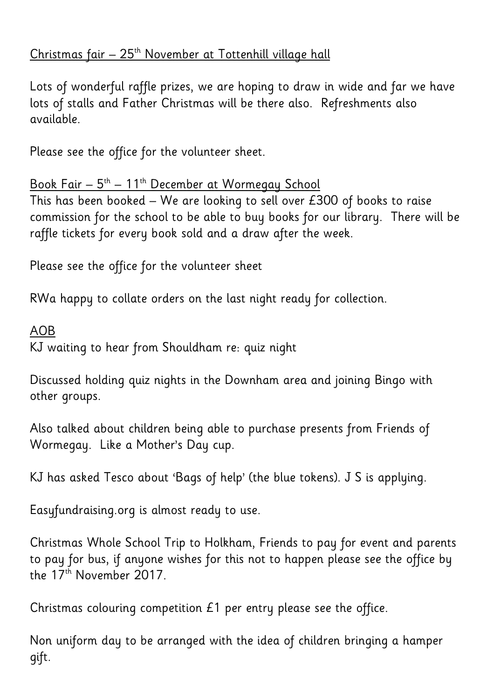# Christmas fair - 25<sup>th</sup> November at Tottenhill village hall

Lots of wonderful raffle prizes, we are hoping to draw in wide and far we have lots of stalls and Father Christmas will be there also. Refreshments also available.

Please see the office for the volunteer sheet.

Book Fair – 5<sup>th</sup> – 11<sup>th</sup> December at Wormegay School

This has been booked – We are looking to sell over £300 of books to raise commission for the school to be able to buy books for our library. There will be raffle tickets for every book sold and a draw after the week.

Please see the office for the volunteer sheet

RWa happy to collate orders on the last night ready for collection.

## AOB

KJ waiting to hear from Shouldham re: quiz night

Discussed holding quiz nights in the Downham area and joining Bingo with other groups.

Also talked about children being able to purchase presents from Friends of Wormegay. Like a Mother's Day cup.

KJ has asked Tesco about 'Bags of help' (the blue tokens). J S is applying.

Easyfundraising.org is almost ready to use.

Christmas Whole School Trip to Holkham, Friends to pay for event and parents to pay for bus, if anyone wishes for this not to happen please see the office by the 17<sup>th</sup> November 2017.

Christmas colouring competition £1 per entry please see the office.

Non uniform day to be arranged with the idea of children bringing a hamper gift.